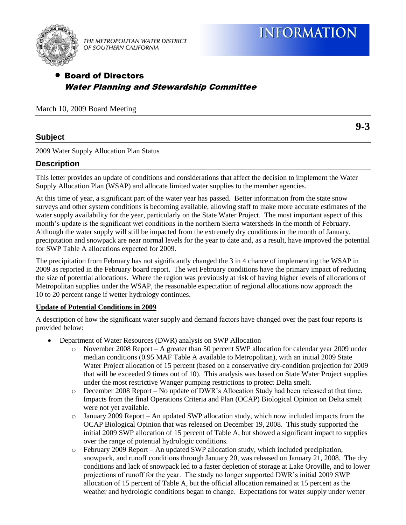

THE METROPOLITAN WATER DISTRICT OF SOUTHERN CALIFORNIA

# Board of Directors Water Planning and Stewardship Committee

March 10, 2009 Board Meeting

## **Subject**

**9-3**

2009 Water Supply Allocation Plan Status

### **Description**

This letter provides an update of conditions and considerations that affect the decision to implement the Water Supply Allocation Plan (WSAP) and allocate limited water supplies to the member agencies.

At this time of year, a significant part of the water year has passed. Better information from the state snow surveys and other system conditions is becoming available, allowing staff to make more accurate estimates of the water supply availability for the year, particularly on the State Water Project. The most important aspect of this month's update is the significant wet conditions in the northern Sierra watersheds in the month of February. Although the water supply will still be impacted from the extremely dry conditions in the month of January, precipitation and snowpack are near normal levels for the year to date and, as a result, have improved the potential for SWP Table A allocations expected for 2009.

The precipitation from February has not significantly changed the 3 in 4 chance of implementing the WSAP in 2009 as reported in the February board report. The wet February conditions have the primary impact of reducing the size of potential allocations. Where the region was previously at risk of having higher levels of allocations of Metropolitan supplies under the WSAP, the reasonable expectation of regional allocations now approach the 10 to 20 percent range if wetter hydrology continues.

#### **Update of Potential Conditions in 2009**

A description of how the significant water supply and demand factors have changed over the past four reports is provided below:

- Department of Water Resources (DWR) analysis on SWP Allocation
	- o November 2008 Report A greater than 50 percent SWP allocation for calendar year 2009 under median conditions (0.95 MAF Table A available to Metropolitan), with an initial 2009 State Water Project allocation of 15 percent (based on a conservative dry-condition projection for 2009 that will be exceeded 9 times out of 10). This analysis was based on State Water Project supplies under the most restrictive Wanger pumping restrictions to protect Delta smelt.
	- o December 2008 Report No update of DWR's Allocation Study had been released at that time. Impacts from the final Operations Criteria and Plan (OCAP) Biological Opinion on Delta smelt were not yet available.
	- o January 2009 Report An updated SWP allocation study, which now included impacts from the OCAP Biological Opinion that was released on December 19, 2008. This study supported the initial 2009 SWP allocation of 15 percent of Table A, but showed a significant impact to supplies over the range of potential hydrologic conditions.
	- o February 2009 Report An updated SWP allocation study, which included precipitation, snowpack, and runoff conditions through January 20, was released on January 21, 2008. The dry conditions and lack of snowpack led to a faster depletion of storage at Lake Oroville, and to lower projections of runoff for the year. The study no longer supported DWR's initial 2009 SWP allocation of 15 percent of Table A, but the official allocation remained at 15 percent as the weather and hydrologic conditions began to change. Expectations for water supply under wetter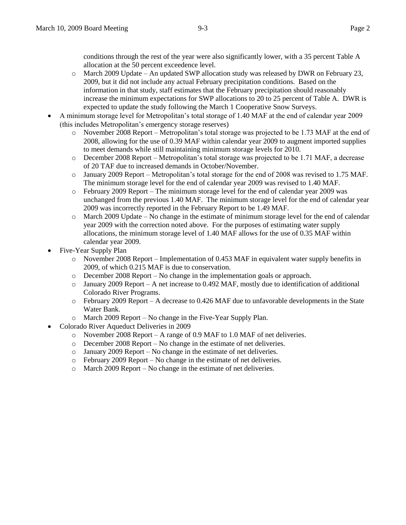conditions through the rest of the year were also significantly lower, with a 35 percent Table A allocation at the 50 percent exceedence level.

- o March 2009 Update An updated SWP allocation study was released by DWR on February 23, 2009, but it did not include any actual February precipitation conditions. Based on the information in that study, staff estimates that the February precipitation should reasonably increase the minimum expectations for SWP allocations to 20 to 25 percent of Table A. DWR is expected to update the study following the March 1 Cooperative Snow Surveys.
- A minimum storage level for Metropolitan's total storage of 1.40 MAF at the end of calendar year 2009 (this includes Metropolitan's emergency storage reserves)
	- o November 2008 Report Metropolitan's total storage was projected to be 1.73 MAF at the end of 2008, allowing for the use of 0.39 MAF within calendar year 2009 to augment imported supplies to meet demands while still maintaining minimum storage levels for 2010.
	- o December 2008 Report Metropolitan's total storage was projected to be 1.71 MAF, a decrease of 20 TAF due to increased demands in October/November.
	- o January 2009 Report Metropolitan's total storage for the end of 2008 was revised to 1.75 MAF. The minimum storage level for the end of calendar year 2009 was revised to 1.40 MAF.
	- o February 2009 Report The minimum storage level for the end of calendar year 2009 was unchanged from the previous 1.40 MAF. The minimum storage level for the end of calendar year 2009 was incorrectly reported in the February Report to be 1.49 MAF.
	- $\circ$  March 2009 Update No change in the estimate of minimum storage level for the end of calendar year 2009 with the correction noted above. For the purposes of estimating water supply allocations, the minimum storage level of 1.40 MAF allows for the use of 0.35 MAF within calendar year 2009.
- Five-Year Supply Plan
	- o November 2008 Report Implementation of 0.453 MAF in equivalent water supply benefits in 2009, of which 0.215 MAF is due to conservation.
	- o December 2008 Report No change in the implementation goals or approach.
	- o January 2009 Report A net increase to 0.492 MAF, mostly due to identification of additional Colorado River Programs.
	- o February 2009 Report A decrease to 0.426 MAF due to unfavorable developments in the State Water Bank.
	- o March 2009 Report No change in the Five-Year Supply Plan.
- Colorado River Aqueduct Deliveries in 2009
	- o November 2008 Report A range of 0.9 MAF to 1.0 MAF of net deliveries.
	- o December 2008 Report No change in the estimate of net deliveries.
	- o January 2009 Report No change in the estimate of net deliveries.
	- o February 2009 Report No change in the estimate of net deliveries.
	- o March 2009 Report No change in the estimate of net deliveries.